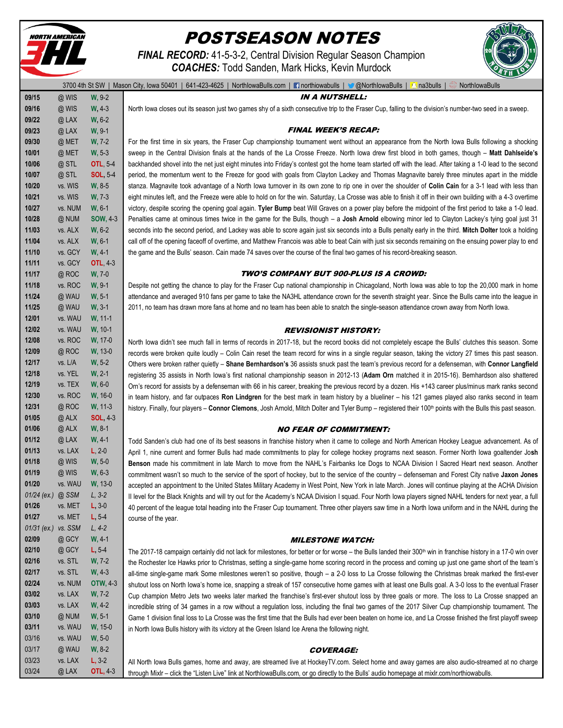

# POSTSEASON NOTES

*FINAL RECORD:* 41-5-3-2, Central Division Regular Season Champion *COACHES:* Todd Sanden, Mark Hicks, Kevin Murdock



|                   |         |                  | 3700 4th St SW   Mason City, Iowa 50401   641-423-4625   NorthlowaBulls.com   Thorthiowabulls   @ @NorthlowaBulls   @ a3bulls  <br>NorthlowaBulls                          |
|-------------------|---------|------------------|----------------------------------------------------------------------------------------------------------------------------------------------------------------------------|
| 09/15             | @ WIS   | W, 9-2           | <b>IN A NUTSHELL:</b>                                                                                                                                                      |
| 09/16             | @ WIS   | $W, 4-3$         | North lowa closes out its season just two games shy of a sixth consecutive trip to the Fraser Cup, falling to the division's number-two seed in a sweep.                   |
| 09/22             | @LAX    | W, 6-2           |                                                                                                                                                                            |
| 09/23             | @LAX    | $W, 9-1$         | <b>FINAL WEEK'S RECAP:</b>                                                                                                                                                 |
| 09/30             | @ MET   | $W, 7-2$         | For the first time in six years, the Fraser Cup championship tournament went without an appearance from the North lowa Bulls following a shocking                          |
| 10/01             | @ MET   | $W, 5-3$         | sweep in the Central Division finals at the hands of the La Crosse Freeze. North lowa drew first blood in both games, though - Matt Dahlseide's                            |
| 10/06             | @STL    | <b>OTL, 5-4</b>  | backhanded shovel into the net just eight minutes into Friday's contest got the home team started off with the lead. After taking a 1-0 lead to the second                 |
| 10/07             | @STL    | <b>SOL</b> , 5-4 | period, the momentum went to the Freeze for good with goals from Clayton Lackey and Thomas Magnavite barely three minutes apart in the middle                              |
| 10/20             | vs. WIS | $W, 8-5$         | stanza. Magnavite took advantage of a North lowa turnover in its own zone to rip one in over the shoulder of Colin Cain for a 3-1 lead with less than                      |
| 10/21             | vs. WIS | W, 7-3           | eight minutes left, and the Freeze were able to hold on for the win. Saturday, La Crosse was able to finish it off in their own building with a 4-3 overtime               |
| 10/27             | vs. NUM | $W, 6-1$         | victory, despite scoring the opening goal again. Tyler Bump beat Will Graves on a power play before the midpoint of the first period to take a 1-0 lead.                   |
| 10/28             | @ NUM   | <b>SOW, 4-3</b>  | Penalties came at ominous times twice in the game for the Bulls, though - a Josh Arnold elbowing minor led to Clayton Lackey's tying goal just 31                          |
| 11/03             | vs. ALX | $W, 6-2$         | seconds into the second period, and Lackey was able to score again just six seconds into a Bulls penalty early in the third. Mitch Dolter took a holding                   |
| 11/04             | vs. ALX | $W, 6-1$         | call off of the opening faceoff of overtime, and Matthew Francois was able to beat Cain with just six seconds remaining on the ensuing power play to end                   |
| 11/10             | vs. GCY | $W, 4-1$         | the game and the Bulls' season. Cain made 74 saves over the course of the final two games of his record-breaking season.                                                   |
| 11/11             | vs. GCY | <b>OTL, 4-3</b>  |                                                                                                                                                                            |
| 11/17             | @ROC    | W, 7-0           | <b>TWO'S COMPANY BUT 900-PLUS IS A CROWD:</b>                                                                                                                              |
| 11/18             | vs. ROC | $W, 9-1$         | Despite not getting the chance to play for the Fraser Cup national championship in Chicagoland, North lowa was able to top the 20,000 mark in home                         |
| 11/24             | @ WAU   | $W, 5-1$         | attendance and averaged 910 fans per game to take the NA3HL attendance crown for the seventh straight year. Since the Bulls came into the league in                        |
| 11/25             | @ WAU   | $W, 3-1$         | 2011, no team has drawn more fans at home and no team has been able to snatch the single-season attendance crown away from North Iowa.                                     |
| 12/01             | vs. WAU | W, 11-1          |                                                                                                                                                                            |
| 12/02             | vs. WAU | W, 10-1          | <b>REVISIONIST HISTORY:</b>                                                                                                                                                |
| 12/08             | vs. ROC | W, 17-0          | North lowa didn't see much fall in terms of records in 2017-18, but the record books did not completely escape the Bulls' clutches this season. Some                       |
| 12/09             | @ROC    | W, 13-0          | records were broken quite loudly - Colin Cain reset the team record for wins in a single regular season, taking the victory 27 times this past season.                     |
| 12/17             | vs. L/A | $W, 5-2$         | Others were broken rather quietly - Shane Bernhardson's 36 assists snuck past the team's previous record for a defenseman, with Connor Langfield                           |
| 12/18             | vs. YEL | $W, 2-1$         | registering 35 assists in North lowa's first national championship season in 2012-13 (Adam Orn matched it in 2015-16). Bemhardson also shattered                           |
| 12/19             | vs. TEX | $W, 6-0$         | Orn's record for assists by a defenseman with 66 in his career, breaking the previous record by a dozen. His +143 career plus/minus mark ranks second                      |
| 12/30             | vs. ROC | W, 16-0          | in team history, and far outpaces Ron Lindgren for the best mark in team history by a blueliner - his 121 games played also ranks second in team                           |
| 12/31             | @ROC    | W, 11-3          | history. Finally, four players - Connor Clemons, Josh Arnold, Mitch Dolter and Tyler Bump - registered their 100 <sup>th</sup> points with the Bulls this past season.     |
| 01/05             | @ ALX   | <b>SOL, 4-3</b>  |                                                                                                                                                                            |
| 01/06             | @ ALX   | $W, 8-1$         | <b>NO FEAR OF COMMITMENT:</b>                                                                                                                                              |
| 01/12             | @LAX    | $W, 4-1$         | Todd Sanden's club had one of its best seasons in franchise history when it came to college and North American Hockey League advancement. As of                            |
| 01/13             | vs. LAX | $L, 2-0$         | April 1, nine current and former Bulls had made commitments to play for college hockey programs next season. Former North lowa goaltender Josh                             |
| 01/18             | @ WIS   | $W, 5-0$         | Benson made his commitment in late March to move from the NAHL's Fairbanks Ice Dogs to NCAA Division I Sacred Heart next season. Another                                   |
| 01/19             | @ WIS   | $W, 6-3$         | commitment wasn't so much to the service of the sport of hockey, but to the service of the country - defenseman and Forest City native Jaxon Jones                         |
| 01/20             | vs. WAU | W, 13-0          | accepted an appointment to the United States Military Academy in West Point, New York in late March. Jones will continue playing at the ACHA Division                      |
| 01/24 (ex.) @ SSM |         | $L, 3-2$         | II level for the Black Knights and will try out for the Academy's NCAA Division I squad. Four North lowa players signed NAHL tenders for next year, a full                 |
| 01/26             | vs. MET | $L, 3-0$         | 40 percent of the league total heading into the Fraser Cup tournament. Three other players saw time in a North lowa uniform and in the NAHL during the                     |
| 01/27             | vs. MET | $L, 5-4$         | course of the year.                                                                                                                                                        |
| $01/31$ (ex.)     | vs. SSM | $L, 4-2$         |                                                                                                                                                                            |
| 02/09             | @ GCY   | $W, 4-1$         | <i><b>MILESTONE WATCH:</b></i>                                                                                                                                             |
| 02/10             | @ GCY   | $L, 5-4$         | The 2017-18 campaign certainly did not lack for milestones, for better or for worse - the Bulls landed their 300 <sup>th</sup> win in franchise history in a 17-0 win over |
| 02/16             | vs. STL | W, 7-2           | the Rochester Ice Hawks prior to Christmas, setting a single-game home scoring record in the process and coming up just one game short of the team's                       |
| 02/17             | vs. STL | $W, 4-3$         | all-time single-game mark Some milestones weren't so positive, though - a 2-0 loss to La Crosse following the Christmas break marked the first-ever                        |
| 02/24             | vs. NUM | <b>OTW, 4-3</b>  | shutout loss on North Iowa's home ice, snapping a streak of 157 consecutive home games with at least one Bulls goal. A 3-0 loss to the eventual Fraser                     |
| 03/02             | vs. LAX | $W, 7-2$         | Cup champion Metro Jets two weeks later marked the franchise's first-ever shutout loss by three goals or more. The loss to La Crosse snapped an                            |
| 03/03             | vs. LAX | $W, 4-2$         | incredible string of 34 games in a row without a regulation loss, including the final two games of the 2017 Silver Cup championship tournament. The                        |
| 03/10             | @ NUM   | $W, 5-1$         | Game 1 division final loss to La Crosse was the first time that the Bulls had ever been beaten on home ice, and La Crosse finished the first playoff sweep                 |
| 03/11             | vs. WAU | W, 15-0          | in North Iowa Bulls history with its victory at the Green Island Ice Arena the following night.                                                                            |
| 03/16             | vs. WAU | $W, 5-0$         |                                                                                                                                                                            |
| 03/17             | @ WAU   | $W, 8-2$         | <b>COVERAGE:</b>                                                                                                                                                           |
| 03/23             | vs. LAX | $L, 3-2$         | All North lowa Bulls games, home and away, are streamed live at HockeyTV.com. Select home and away games are also audio-streamed at no charge                              |
| 03/24             | @LAX    | <b>OTL, 4-3</b>  | through Mixlr - click the "Listen Live" link at NorthlowaBulls.com, or go directly to the Bulls' audio homepage at mixlr.com/northiowabulls.                               |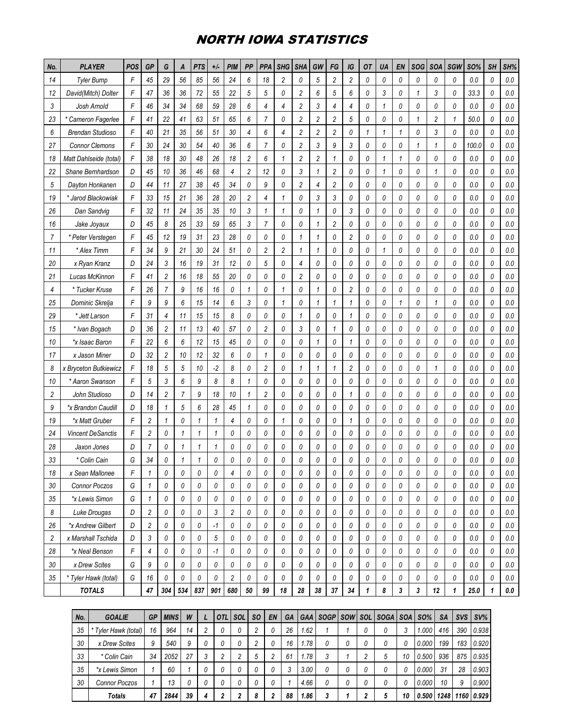### NORTH IOWA STATISTICS

| No. | <b>PLAYER</b>            | POS | GP             | G              | A              | <b>PTS</b> | $+/-$        | <b>PIM</b>     | PP             | <b>PPA</b>     | <b>SHG</b>     | <b>SHA</b>     | GW             | FG             | IG             | <b>OT</b> | UA           | EN                        | SOG          | <b>SOA</b>     | SGW          | <b>SO%</b> | <b>SH</b> | SH%     |
|-----|--------------------------|-----|----------------|----------------|----------------|------------|--------------|----------------|----------------|----------------|----------------|----------------|----------------|----------------|----------------|-----------|--------------|---------------------------|--------------|----------------|--------------|------------|-----------|---------|
| 14  | <b>Tyler Bump</b>        | F   | 45             | 29             | 56             | 85         | 56           | 24             | 6              | 18             | $\overline{c}$ | 0              | 5              | $\overline{c}$ | $\sqrt{2}$     | 0         | 0            | 0                         | 0            | 0              | 0            | $0.0\,$    | 0         | $0.0\,$ |
| 12  | David(Mitch) Dolter      | F   | 47             | 36             | 36             | 72         | 55           | 22             | 5              | 5              | 0              | 2              | 6              | 5              | 6              | 0         | 3            | 0                         | $\mathbf{1}$ | 3              | 0            | 33.3       | 0         | $0.0\,$ |
| 3   | Josh Arnold              | F   | 46             | 34             | 34             | 68         | 59           | 28             | 6              | 4              | $\overline{4}$ | $\overline{c}$ | 3              | $\overline{4}$ | 4              | 0         | $\mathbf{1}$ | 0                         | 0            | 0              | 0            | 0.0        | 0         | $0.0\,$ |
| 23  | * Cameron Fagerlee       | F   | 41             | 22             | 41             | 63         | 51           | 65             | 6              | $\overline{7}$ | 0              | $\overline{c}$ | $\overline{c}$ | $\overline{c}$ | 5              | 0         | 0            | 0                         | $\mathbf{1}$ | $\overline{c}$ | $\mathbf{1}$ | 50.0       | 0         | $0.0\,$ |
| 6   | <b>Brendan Studioso</b>  | F   | 40             | 21             | 35             | 56         | 51           | 30             | 4              | 6              | 4              | 2              | 2              | $\overline{c}$ | 0              | 1         | 1            | 1                         | 0            | 3              | 0            | 0.0        | 0         | 0.0     |
| 27  | <b>Connor Clemons</b>    | F   | 30             | 24             | 30             | 54         | 40           | 36             | 6              | $\overline{7}$ | 0              | $\overline{c}$ | 3              | 9              | 3              | 0         | 0            | 0                         | $\mathbf{1}$ | $\mathbf{1}$   | 0            | 100.0      | 0         | $0.0\,$ |
| 18  | Matt Dahlseide (total)   | F   | 38             | 18             | 30             | 48         | 26           | 18             | 2              | 6              | 1              | 2              | $\overline{c}$ | 1              | 0              | 0         | $\mathbf{1}$ | 1                         | 0            | 0              | 0            | 0.0        | 0         | $0.0\,$ |
| 22  | Shane Bernhardson        | D   | 45             | 10             | 36             | 46         | 68           | $\overline{4}$ | $\overline{c}$ | 12             | 0              | 3              | $\mathbf{1}$   | $\overline{c}$ | 0              | 0         | 1            | 0                         | 0            | 1              | 0            | 0.0        | 0         | $0.0\,$ |
| 5   | Dayton Honkanen          | D   | 44             | 11             | 27             | 38         | 45           | 34             | 0              | 9              | 0              | $\overline{c}$ | 4              | $\overline{c}$ | 0              | 0         | 0            | 0                         | 0            | 0              | 0            | 0.0        | 0         | $0.0\,$ |
| 19  | Jarod Blackowiak         | F   | 33             | 15             | 21             | 36         | 28           | 20             | 2              | 4              | $\mathbf{1}$   | 0              | 3              | 3              | 0              | 0         | 0            | 0                         | $\theta$     | 0              | 0            | 0.0        | 0         | 0.0     |
| 26  | Dan Sandvig              | F   | 32             | 11             | 24             | 35         | 35           | 10             | 3              | $\mathbf{1}$   | 1              | 0              | $\mathbf{1}$   | 0              | 3              | 0         | 0            | 0                         | 0            | 0              | 0            | 0.0        | 0         | $0.0\,$ |
| 16  | Jake Joyaux              | D   | 45             | 8              | 25             | 33         | 59           | 65             | 3              | $\overline{7}$ | 0              | 0              | $\mathbf{1}$   | $\overline{2}$ | 0              | 0         | 0            | 0                         | 0            | 0              | 0            | 0.0        | 0         | $0.0\,$ |
| 7   | * Peter Verstegen        | F   | 45             | 12             | 19             | 31         | 23           | 28             | 0              | 0              | 0              | 1              | 1              | 0              | $\overline{c}$ | 0         | 0            | 0                         | 0            | 0              | 0            | 0.0        | 0         | $0.0\,$ |
| 11  | * Alex Timm              | F   | 34             | 9              | 21             | 30         | 24           | 51             | 0              | $\overline{c}$ | $\overline{c}$ | 1              | $\mathbf{1}$   | 0              | 0              | 0         | $\mathbf{1}$ | 0                         | 0            | 0              | 0            | 0.0        | 0         | $0.0\,$ |
| 20  | x Ryan Kranz             | D   | 24             | 3              | 16             | 19         | 31           | 12             | 0              | 5              | 0              | 4              | 0              | 0              | 0              | 0         | 0            | 0                         | $\theta$     | 0              | 0            | 0.0        | 0         | $0.0\,$ |
| 21  | Lucas McKinnon           | F   | 41             | $\overline{c}$ | 16             | 18         | 55           | 20             | 0              | 0              | 0              | $\overline{c}$ | 0              | 0              | 0              | 0         | 0            | 0                         | 0            | 0              | 0            | 0.0        | 0         | $0.0\,$ |
| 4   | * Tucker Kruse           | F   | 26             | $\overline{7}$ | 9              | 16         | 16           | 0              | 1              | 0              | 1              | 0              | $\mathbf{1}$   | 0              | $\overline{c}$ | 0         | 0            | 0                         | 0            | 0              | 0            | 0.0        | 0         | $0.0\,$ |
| 25  | Dominic Skrelja          | F   | 9              | 9              | 6              | 15         | 14           | 6              | 3              | 0              | 1              | 0              | $\mathbf{1}$   | 1              | 1              | 0         | 0            | 1                         | 0            | 1              | 0            | 0.0        | 0         | 0.0     |
| 29  | * Jett Larson            | F   | 31             | 4              | 11             | 15         | 15           | 8              | 0              | 0              | 0              | 1              | 0              | 0              | $\mathbf{1}$   | 0         | 0            | 0                         | 0            | 0              | 0            | 0.0        | 0         | $0.0\,$ |
| 15  | * Ivan Bogach            | D   | 36             | $\overline{c}$ | 11             | 13         | 40           | 57             | 0              | $\overline{c}$ | 0              | 3              | 0              | $\mathbf{1}$   | 0              | 0         | 0            | 0                         | 0            | 0              | 0            | 0.0        | 0         | $0.0\,$ |
| 10  | *x Isaac Baron           | F   | 22             | 6              | 6              | 12         | 15           | 45             | 0              | 0              | 0              | 0              | 1              | 0              | 1              | 0         | 0            | 0                         | 0            | 0              | 0            | 0.0        | 0         | 0.0     |
| 17  | x Jason Miner            | D   | 32             | 2              | 10             | 12         | 32           | 6              | 0              | $\mathbf{1}$   | 0              | 0              | 0              | 0              | 0              | 0         | 0            | 0                         | 0            | 0              | 0            | 0.0        | 0         | $0.0\,$ |
| 8   | x Bryceton Butkiewicz    | F   | 18             | 5              | 5              | 10         | $-2$         | 8              | 0              | $\overline{c}$ | 0              | 1              | 1              | 1              | $\overline{c}$ | 0         | 0            | 0                         | 0            | 1              | 0            | 0.0        | 0         | $0.0\,$ |
| 10  | * Aaron Swanson          | F   | 5              | 3              | 6              | 9          | 8            | 8              | 1              | 0              | 0              | 0              | 0              | 0              | 0              | 0         | 0            | 0                         | 0            | 0              | 0            | 0.0        | 0         | $0.0\,$ |
| 2   | John Studioso            | D   | 14             | $\overline{c}$ | $\overline{7}$ | 9          | 18           | 10             | $\mathbf{1}$   | $\overline{c}$ | 0              | 0              | 0              | 0              | $\mathbf{1}$   | 0         | 0            | 0                         | $\theta$     | 0              | 0            | 0.0        | 0         | $0.0\,$ |
| 9   | *x Brandon Caudill       | D   | 18             | 1              | 5              | 6          | 28           | 45             | 1              | 0              | 0              | 0              | 0              | 0              | 0              | 0         | 0            | 0                         | 0            | 0              | 0            | 0.0        | 0         | 0.0     |
| 19  | *x Matt Gruber           | F   | 2              | 1              | 0              | 1          | $\mathbf{1}$ | 4              | 0              | 0              | 1              | 0              | 0              | 0              | 1              | 0         | 0            | 0                         | 0            | 0              | 0            | 0.0        | 0         | 0.0     |
| 24  | <b>Vincent DeSanctis</b> | F   | $\overline{c}$ | 0              | $\mathbf{1}$   | 1          | $\mathbf{1}$ | 0              | 0              | 0              | 0              | 0              | 0              | 0              | 0              | 0         | 0            | 0                         | 0            | $\theta$       | 0            | 0.0        | 0         | $0.0\,$ |
| 28  | Jaxon Jones              | D   | 7              | 0              | 1              | 1          | $\mathbf{1}$ | 0              | 0              | 0              | 0              | 0              | 0              | 0              | 0              | 0         | 0            | 0                         | 0            | 0              | 0            | 0.0        | 0         | $0.0\,$ |
| 33  | * Colin Cain             | G   | 34             | 0              | 1              | 1          | 0            | 0              | 0              | 0              | 0              | 0              | 0              | 0              | 0              | 0         | 0            | 0                         | 0            | 0              | 0            | 0.0        | 0         | $0.0\,$ |
| 18  | x Sean Mallonee          | F   | 1              | 0              | U              | 0          | U            | 4              | U              | U              | U              | U              | U              | U              | U              | U         | $\theta$     | U                         | $\theta$     | 0              | U            | 0.0        | U         | 0.0     |
| 30  | Connor Poczos            | G   | 1              | 0              | 0              | 0          | 0            | 0              | 0              | 0              | 0              | 0              | 0              | 0              | 0              | 0         | 0            | 0                         | 0            | 0              | 0            | 0.0        | 0         | 0.0     |
| 35  | *x Lewis Simon           | G   | 1              | 0              | 0              | 0          | 0            | 0              | 0              | 0              | 0              | 0              | 0              | 0              | $\theta$       | 0         | 0            | 0                         | 0            | 0              | 0            | 0.0        | 0         | $0.0\,$ |
| 8   | Luke Drougas             | D   | 2              | 0              | 0              | 0          | 3            | 2              | 0              | 0              | 0              | 0              | 0              | 0              | 0              | 0         | 0            | 0                         | 0            | 0              | 0            | 0.0        | 0         | 0.0     |
| 26  | *x Andrew Gilbert        | D   | $\overline{c}$ | 0              | 0              | 0          | $-1$         | 0              | 0              | 0              | 0              | 0              | 0              | 0              | 0              | 0         | 0            | 0                         | 0            | 0              | 0            | 0.0        | 0         | 0.0     |
| 2   | x Marshall Tschida       | D   | $\mathfrak{Z}$ | 0              | 0              | 0          | 5            | 0              | 0              | 0              | 0              | 0              | 0              | 0              | 0              | 0         | 0            | 0                         | 0            | 0              | 0            | 0.0        | 0         | $0.0\,$ |
| 28  | *x Neal Benson           | F   | 4              | 0              | 0              | 0          | $-1$         | 0              | 0              | 0              | 0              | 0              | 0              | 0              | 0              | 0         | 0            | 0                         | 0            | 0              | 0            | 0.0        | 0         | $0.0\,$ |
| 30  | x Drew Scites            | G   | 9              | 0              | 0              | 0          | 0            | 0              | 0              | 0              | 0              | 0              | 0              | 0              | 0              | 0         | 0            | 0                         | 0            | 0              | 0            | 0.0        | 0         | 0.0     |
| 35  | * Tyler Hawk (total)     | G   | 16             | 0              | 0              | 0          | 0            | $\overline{c}$ | 0              | 0              | 0              | 0              | 0              | 0              | 0              | 0         | 0            | 0                         | 0            | 0              | 0            | 0.0        | 0         | $0.0\,$ |
|     | <b>TOTALS</b>            |     | 47             | 304            | 534            | 837        | 901          | 680            | 50             | 99             | 18             | 28             | 38             | 37             | 34             | 1         | 8            | $\boldsymbol{\mathsf{3}}$ | 3            | 12             | 1            | 25.0       | 1         | $0.0\,$ |
|     |                          |     |                |                |                |            |              |                |                |                |                |                |                |                |                |           |              |                           |              |                |              |            |           |         |

| No. | <b>GOALIE</b>      | GP | <b>MINS</b> | W  |   | OTL      | <b>ISOL</b> | <b>SO</b> | EN | <b>GA</b> | <b>GAA</b> |   |   | SOGP   SOW   SOL   SOGA   SOA   SO% |    |       | <b>SA</b> | SVS I | SV%        |
|-----|--------------------|----|-------------|----|---|----------|-------------|-----------|----|-----------|------------|---|---|-------------------------------------|----|-------|-----------|-------|------------|
| 35  | Tyler Hawk (total) | 16 | 964         | 14 | റ | 0        |             |           |    | 26        | 1.62       |   | U |                                     |    | .000  | 416       | 390   | 0.938      |
| 30  | x Drew Scites      | 9  | 540         | 9  |   | 0        |             |           |    | 16        | 1.78       | 0 | 0 |                                     | 0  | 0.000 | 199       | 183   | 0.920      |
| 33  | * Colin Cain       | 34 | 2052        | 27 | 3 | C        |             | 5         |    | 61        | 1.78       | 3 | ∩ | 5                                   | 10 | 0.500 | 936       | 875   | 0.935      |
| 35  | *x Lewis Simon     |    | 60          |    |   | $\theta$ |             |           |    | 3         | 3.00       | 0 | 0 |                                     | 0  | 0.000 | 31        | 28    | 0.903      |
| 30  | Connor Poczos      |    | 13          |    |   | 0        |             | 0         |    |           | 4.66       | 0 | 0 |                                     | 0  | 0.000 | 10        | 9     | 0.900      |
|     | Totals             | 47 | 2844        | 39 | 4 | 2        |             | 8         |    | 88        | 1.86       | 3 | າ |                                     | 10 | 0.500 | 1248      |       | 1160 0.929 |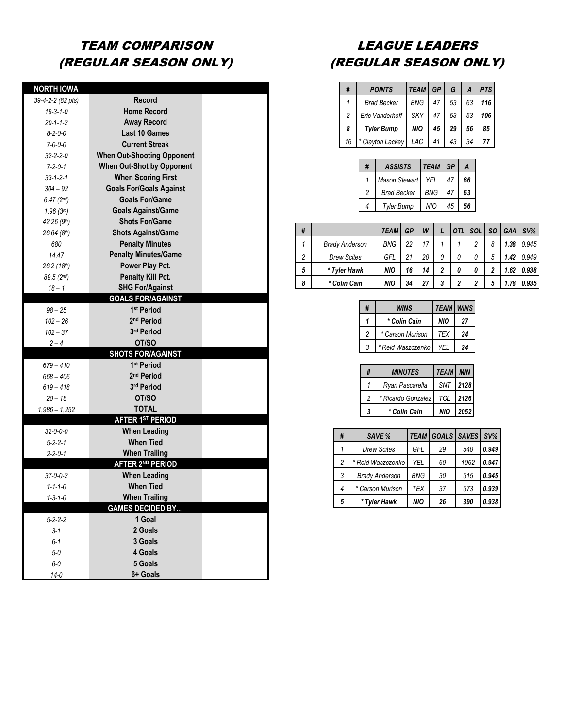## TEAM COMPARISON (REGULAR SEASON ONLY)

| <b>NORTH IOWA</b>       |                                   |  |
|-------------------------|-----------------------------------|--|
| 39-4-2-2 (82 pts)       | <b>Record</b>                     |  |
| $19 - 3 - 1 - 0$        | <b>Home Record</b>                |  |
| $20 - 1 - 1 - 2$        | <b>Away Record</b>                |  |
| $8 - 2 - 0 - 0$         | <b>Last 10 Games</b>              |  |
| $7 - 0 - 0 - 0$         | <b>Current Streak</b>             |  |
| $32 - 2 - 2 - 0$        | <b>When Out-Shooting Opponent</b> |  |
| $7 - 2 - 0 - 1$         | <b>When Out-Shot by Opponent</b>  |  |
| $33 - 1 - 2 - 1$        | <b>When Scoring First</b>         |  |
| $304 - 92$              | <b>Goals For/Goals Against</b>    |  |
| $6.47(2^{nd})$          | <b>Goals For/Game</b>             |  |
| $1.96(3^{rd})$          | <b>Goals Against/Game</b>         |  |
| 42.26 (9th)             | <b>Shots For/Game</b>             |  |
| 26.64(8 <sup>th</sup> ) | <b>Shots Against/Game</b>         |  |
| 680                     | <b>Penalty Minutes</b>            |  |
| 14.47                   | <b>Penalty Minutes/Game</b>       |  |
| 26.2 (18th)             | Power Play Pct.                   |  |
| 89.5 (2nd)              | Penalty Kill Pct.                 |  |
| $18 - 1$                | <b>SHG For/Against</b>            |  |
|                         | <b>GOALS FOR/AGAINST</b>          |  |
| $98 - 25$               | 1 <sup>st</sup> Period            |  |
| $102 - 26$              | 2 <sup>nd</sup> Period            |  |
| $102 - 37$              | 3rd Period                        |  |
| $2 - 4$                 | OT/SO                             |  |
|                         | <b>SHOTS FOR/AGAINST</b>          |  |
| $679 - 410$             | 1 <sup>st</sup> Period            |  |
| $668 - 406$             | 2 <sup>nd</sup> Period            |  |
| $619 - 418$             | 3rd Period                        |  |
| $20 - 18$               | OT/SO                             |  |
| $1,986 - 1,252$         | <b>TOTAL</b>                      |  |
|                         | <b>AFTER 1ST PERIOD</b>           |  |
| $32 - 0 - 0 - 0$        | <b>When Leading</b>               |  |
| $5 - 2 - 2 - 1$         | <b>When Tied</b>                  |  |
| 2-2-0-1                 | <b>When Trailing</b>              |  |
|                         | <b>AFTER 2ND PERIOD</b>           |  |
| $37 - 0 - 0 - 2$        | <b>When Leading</b>               |  |
| $1 - 1 - 1 - 0$         | <b>When Tied</b>                  |  |
| $1 - 3 - 1 - 0$         | <b>When Trailing</b>              |  |
|                         | <b>GAMES DECIDED BY</b>           |  |
| $5 - 2 - 2 - 2$         | 1 Goal                            |  |
| $3 - 1$                 | 2 Goals                           |  |
| $6 - 1$                 | 3 Goals                           |  |
| $5 - 0$                 | 4 Goals                           |  |
| $6-0$                   | 5 Goals                           |  |
| $14 - 0$                | 6+ Goals                          |  |

### LEAGUE LEADERS (REGULAR SEASON ONLY)

| #              | <b>POINTS</b>      | <b>TEAM</b> | <b>GP</b> | G  | A  | <b>PTS</b> |
|----------------|--------------------|-------------|-----------|----|----|------------|
| 1              | <b>Brad Becker</b> | <b>BNG</b>  | 47        | 53 | 63 | 116        |
| $\overline{2}$ | Eric Vanderhoff    | <b>SKY</b>  | 47        | 53 | 53 | 106        |
| 8              | <b>Tyler Bump</b>  | <b>NIO</b>  | 45        | 29 | 56 | 85         |
| 16             | * Clayton Lackey   | LAC         | 41        | 43 | 34 | 77         |

| # | <b>ASSISTS</b>     | <b>TEAM</b> | GP | A  |
|---|--------------------|-------------|----|----|
|   | Mason Stewart I    | YEL         | 47 | 66 |
| 2 | <b>Brad Becker</b> | <b>BNG</b>  | 47 | 63 |
| 4 | <b>Tyler Bump</b>  | <b>NIO</b>  | 45 | 56 |

| # |                       | <b>TEAM</b> | GP | W  |   |   | <b>SOL</b> | SO. | <b>GAA</b> | $SV\%$ |
|---|-----------------------|-------------|----|----|---|---|------------|-----|------------|--------|
|   | <b>Brady Anderson</b> | <b>BNG</b>  | 22 | 17 |   |   | っ          | 8   | 1.38       | 0.945  |
| 2 | <b>Drew Scites</b>    | GFL         | 21 | 20 | 0 | 0 |            | 5   | 1.42       | 0.949  |
| 5 | * Tyler Hawk          | <b>NIO</b>  | 16 | 14 | 2 | 0 |            | 2   | 1.62       | 0.938  |
| 8 | * Colin Cain          | NIO         | 34 | 27 | 3 | 2 | 2          | 5   | 1.78       | 0.935  |

| # | WINS              | <b>TEAM WINS</b> |    |
|---|-------------------|------------------|----|
| 1 | * Colin Cain      | NIO              | 27 |
| 2 | * Carson Murison  | <b>TFX</b>       | 24 |
| 3 | * Reid Waszczenko | YFI              | 24 |

| #              | <b>MINUTES</b>     | <b>TEAM MIN</b> |      |
|----------------|--------------------|-----------------|------|
|                | Ryan Pascarella    | SNT 2128        |      |
| $\mathfrak{p}$ | * Ricardo Gonzalez | TOL 2126        |      |
| 3              | * Colin Cain       | <b>NIO</b>      | 2052 |

| # | SAVE %                | <b>TEAM</b> | GOALS SAVES |      | $SV\%$ |
|---|-----------------------|-------------|-------------|------|--------|
|   | <b>Drew Scites</b>    | GFL         | 29          | 540  | 0.949  |
| 2 | * Reid Waszczenko     | <b>YEL</b>  | 60          | 1062 | 0.947  |
| 3 | <b>Brady Anderson</b> | <b>BNG</b>  | 30          | 515  | 0.945  |
| 4 | * Carson Murison      | <b>TEX</b>  | 37          | 573  | 0.939  |
| 5 | * Tyler Hawk          | <b>NIO</b>  | 26          | 390  | 0.938  |